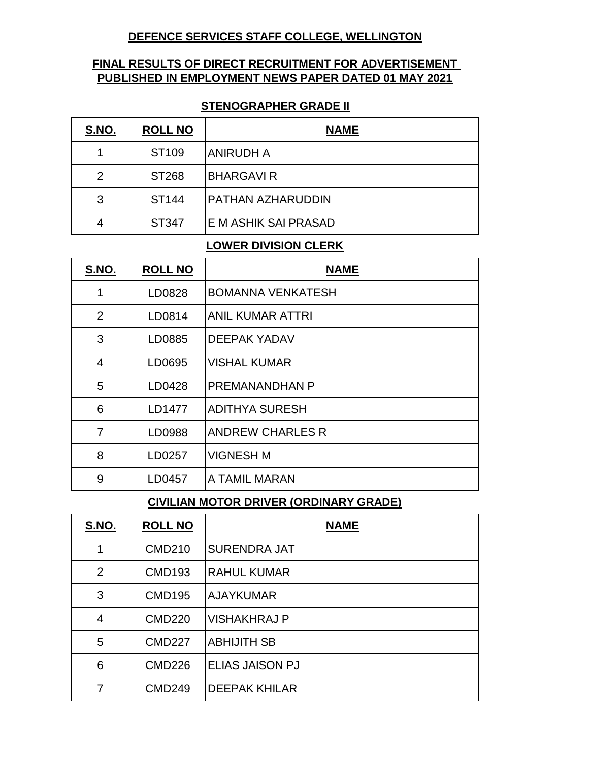## **DEFENCE SERVICES STAFF COLLEGE, WELLINGTON**

## **FINAL RESULTS OF DIRECT RECRUITMENT FOR ADVERTISEMENT PUBLISHED IN EMPLOYMENT NEWS PAPER DATED 01 MAY 2021**

#### **STENOGRAPHER GRADE II**

| S.NO. | <b>ROLL NO</b>    | <b>NAME</b>              |
|-------|-------------------|--------------------------|
|       | ST <sub>109</sub> | <b>ANIRUDH A</b>         |
| 2     | ST268             | <b>BHARGAVIR</b>         |
| 3     | ST <sub>144</sub> | <b>PATHAN AZHARUDDIN</b> |
| 4     | ST347             | E M ASHIK SAI PRASAD     |

## **LOWER DIVISION CLERK**

| S.NO.          | <b>ROLL NO</b> | <b>NAME</b>              |
|----------------|----------------|--------------------------|
| 1              | LD0828         | <b>BOMANNA VENKATESH</b> |
| $\overline{2}$ | LD0814         | <b>ANIL KUMAR ATTRI</b>  |
| 3              | LD0885         | <b>DEEPAK YADAV</b>      |
| $\overline{4}$ | LD0695         | <b>VISHAL KUMAR</b>      |
| 5              | LD0428         | <b>PREMANANDHAN P</b>    |
| 6              | LD1477         | <b>ADITHYA SURESH</b>    |
| $\overline{7}$ | LD0988         | <b>ANDREW CHARLES R</b>  |
| 8              | LD0257         | <b>VIGNESH M</b>         |
| 9              | LD0457         | A TAMIL MARAN            |

#### **CIVILIAN MOTOR DRIVER (ORDINARY GRADE)**

| S.NO.          | <b>ROLL NO</b> | <b>NAME</b>            |
|----------------|----------------|------------------------|
| 1              | <b>CMD210</b>  | <b>SURENDRA JAT</b>    |
| $\overline{2}$ | <b>CMD193</b>  | <b>RAHUL KUMAR</b>     |
| 3              | <b>CMD195</b>  | <b>AJAYKUMAR</b>       |
| 4              | <b>CMD220</b>  | <b>VISHAKHRAJ P</b>    |
| 5              | <b>CMD227</b>  | <b>ABHIJITH SB</b>     |
| 6              | <b>CMD226</b>  | <b>ELIAS JAISON PJ</b> |
| 7              | <b>CMD249</b>  | <b>DEEPAK KHILAR</b>   |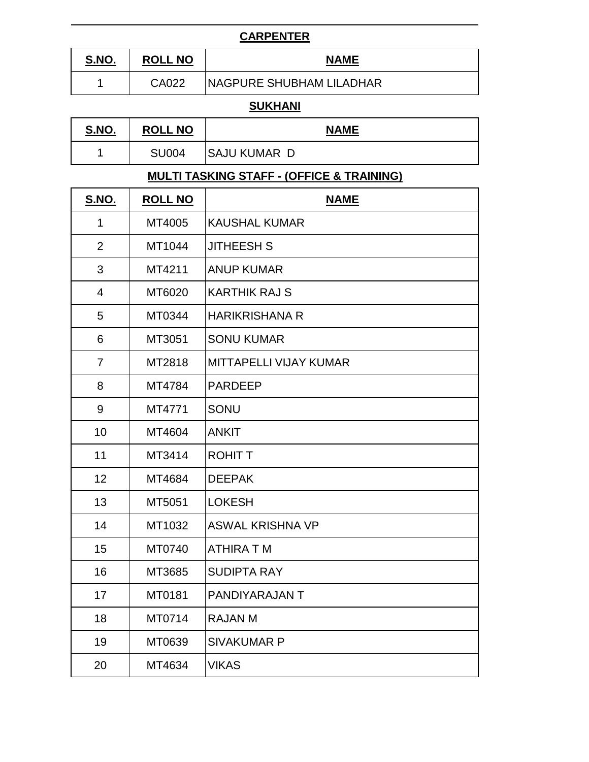## **CARPENTER**

| <u>S.NO.</u> | <b>NO</b><br><b>ROLI</b> | <b>NAME</b>               |
|--------------|--------------------------|---------------------------|
|              | CA022                    | INAGPURE SHUBHAM LILADHAR |

## **SUKHANI**

| <u>S.NO.</u> | <b>ROLL NO</b> | <b>NAME</b>         |
|--------------|----------------|---------------------|
|              | <b>SU004</b>   | <b>SAJU KUMAR D</b> |

# **MULTI TASKING STAFF - (OFFICE & TRAINING)**

| S.NO.          | <b>ROLL NO</b> | <b>NAME</b>                   |
|----------------|----------------|-------------------------------|
| 1              | MT4005         | <b>KAUSHAL KUMAR</b>          |
| $\overline{2}$ | MT1044         | <b>JITHEESH S</b>             |
| 3              | MT4211         | <b>ANUP KUMAR</b>             |
| $\overline{4}$ | MT6020         | <b>KARTHIK RAJ S</b>          |
| 5              | MT0344         | <b>HARIKRISHANA R</b>         |
| 6              | MT3051         | <b>SONU KUMAR</b>             |
| $\overline{7}$ | MT2818         | <b>MITTAPELLI VIJAY KUMAR</b> |
| 8              | MT4784         | <b>PARDEEP</b>                |
| 9              | MT4771         | SONU                          |
| 10             | MT4604         | <b>ANKIT</b>                  |
| 11             | MT3414         | <b>ROHIT T</b>                |
| 12             | MT4684         | <b>DEEPAK</b>                 |
| 13             | MT5051         | <b>LOKESH</b>                 |
| 14             | MT1032         | <b>ASWAL KRISHNA VP</b>       |
| 15             | MT0740         | <b>ATHIRA TM</b>              |
| 16             | MT3685         | <b>SUDIPTA RAY</b>            |
| 17             | MT0181         | PANDIYARAJAN T                |
| 18             | MT0714         | <b>RAJAN M</b>                |
| 19             | MT0639         | <b>SIVAKUMAR P</b>            |
| 20             | MT4634         | <b>VIKAS</b>                  |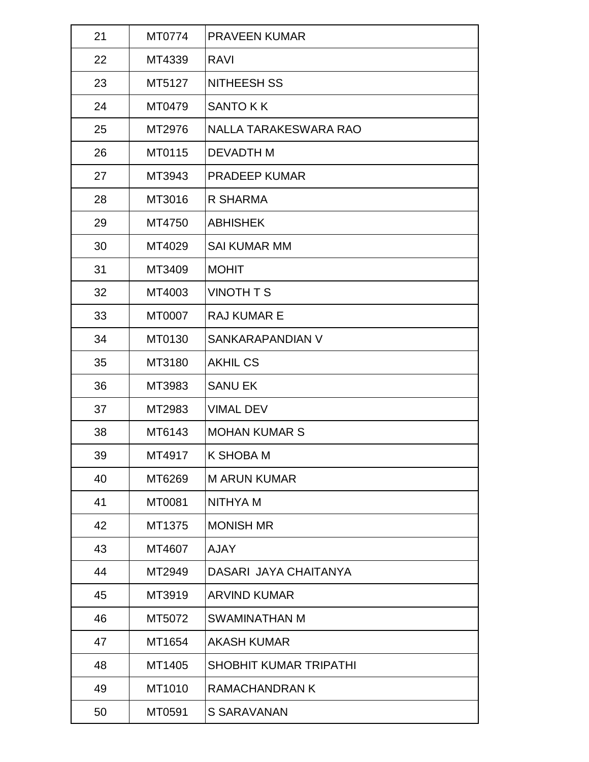| 21 | MT0774 | <b>PRAVEEN KUMAR</b>          |
|----|--------|-------------------------------|
| 22 | MT4339 | <b>RAVI</b>                   |
| 23 | MT5127 | <b>NITHEESH SS</b>            |
| 24 | MT0479 | <b>SANTO KK</b>               |
| 25 | MT2976 | NALLA TARAKESWARA RAO         |
| 26 | MT0115 | <b>DEVADTH M</b>              |
| 27 | MT3943 | <b>PRADEEP KUMAR</b>          |
| 28 | MT3016 | R SHARMA                      |
| 29 | MT4750 | <b>ABHISHEK</b>               |
| 30 | MT4029 | <b>SAI KUMAR MM</b>           |
| 31 | MT3409 | <b>MOHIT</b>                  |
| 32 | MT4003 | <b>VINOTH T S</b>             |
| 33 | MT0007 | <b>RAJ KUMAR E</b>            |
| 34 | MT0130 | SANKARAPANDIAN V              |
| 35 | MT3180 | <b>AKHIL CS</b>               |
| 36 | MT3983 | <b>SANU EK</b>                |
| 37 | MT2983 | <b>VIMAL DEV</b>              |
| 38 | MT6143 | <b>MOHAN KUMAR S</b>          |
| 39 | MT4917 | <b>K SHOBA M</b>              |
| 40 | MT6269 | <b>MARUN KUMAR</b>            |
| 41 | MT0081 | NITHYA M                      |
| 42 | MT1375 | <b>MONISH MR</b>              |
| 43 | MT4607 | <b>AJAY</b>                   |
| 44 | MT2949 | DASARI JAYA CHAITANYA         |
| 45 | MT3919 | <b>ARVIND KUMAR</b>           |
| 46 | MT5072 | SWAMINATHAN M                 |
| 47 | MT1654 | <b>AKASH KUMAR</b>            |
| 48 | MT1405 | <b>SHOBHIT KUMAR TRIPATHI</b> |
| 49 | MT1010 | <b>RAMACHANDRAN K</b>         |
| 50 | MT0591 | <b>S SARAVANAN</b>            |
|    |        |                               |